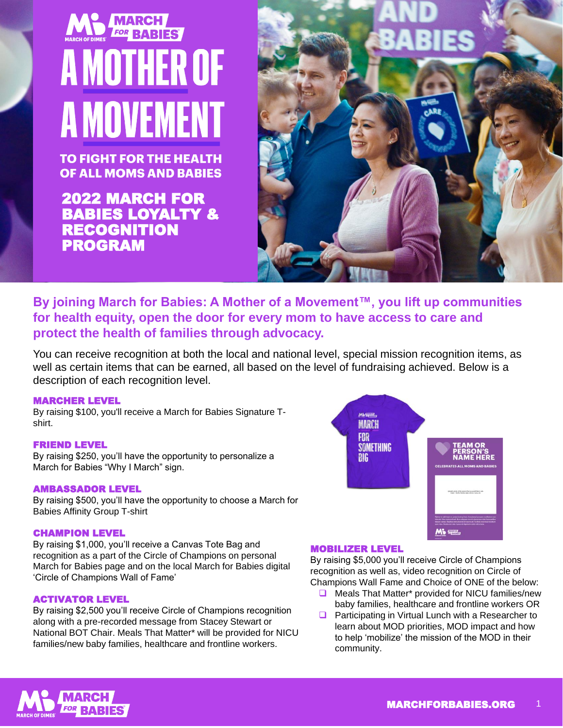# **FOR BABIES A MOTHER OF A MOVEMENT**

**TO FIGHT FOR THE HEALTH OF ALL MOMS AND BABIES** 

2022 MARCH FOR BABIES LOYALTY & RECOGNITION PROGRAM



### **By joining March for Babies: A Mother of a Movement™, you lift up communities for health equity, open the door for every mom to have access to care and protect the health of families through advocacy.**

You can receive recognition at both the local and national level, special mission recognition items, as well as certain items that can be earned, all based on the level of fundraising achieved. Below is a description of each recognition level.

### MARCHER LEVEL

By raising \$100, you'll receive a March for Babies Signature Tshirt.

### FRIEND LEVEL

By raising \$250, you'll have the opportunity to personalize a March for Babies "Why I March" sign.

### AMBASSADOR LEVEL

By raising \$500, you'll have the opportunity to choose a March for Babies Affinity Group T-shirt

### CHAMPION LEVEL

By raising \$1,000, you'll receive a Canvas Tote Bag and recognition as a part of the Circle of Champions on personal March for Babies page and on the local March for Babies digital 'Circle of Champions Wall of Fame'

### ACTIVATOR LEVEL

By raising \$2,500 you'll receive Circle of Champions recognition along with a pre-recorded message from Stacey Stewart or National BOT Chair. Meals That Matter\* will be provided for NICU families/new baby families, healthcare and frontline workers.



### MOBILIZER LEVEL

By raising \$5,000 you'll receive Circle of Champions recognition as well as, video recognition on Circle of Champions Wall Fame and Choice of ONE of the below:

- **□** Meals That Matter\* provided for NICU families/new baby families, healthcare and frontline workers OR
- $\Box$  Participating in Virtual Lunch with a Researcher to learn about MOD priorities, MOD impact and how to help 'mobilize' the mission of the MOD in their community.

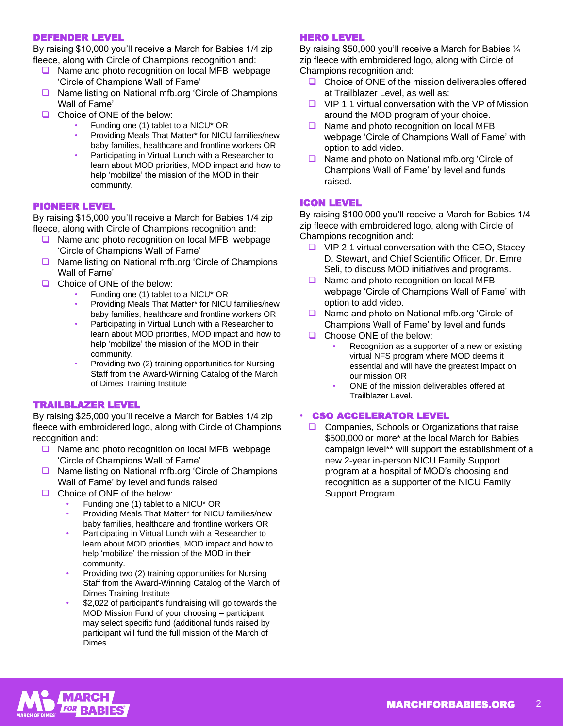### DEFENDER LEVEL

By raising \$10,000 you'll receive a March for Babies 1/4 zip fleece, along with Circle of Champions recognition and:

- **Q** Name and photo recognition on local MFB webpage 'Circle of Champions Wall of Fame'
- **■** Name listing on National mfb.org 'Circle of Champions Wall of Fame'
- □ Choice of ONE of the below:
	- Funding one (1) tablet to a NICU\* OR
	- Providing Meals That Matter\* for NICU families/new baby families, healthcare and frontline workers OR
	- Participating in Virtual Lunch with a Researcher to learn about MOD priorities, MOD impact and how to help 'mobilize' the mission of the MOD in their community.

### PIONEER LEVEL

By raising \$15,000 you'll receive a March for Babies 1/4 zip fleece, along with Circle of Champions recognition and:

- **□** Name and photo recognition on local MFB webpage 'Circle of Champions Wall of Fame'
- **□** Name listing on National mfb.org 'Circle of Champions Wall of Fame'
- Choice of ONE of the below:
	- Funding one (1) tablet to a NICU\* OR
	- Providing Meals That Matter\* for NICU families/new baby families, healthcare and frontline workers OR
	- Participating in Virtual Lunch with a Researcher to learn about MOD priorities, MOD impact and how to help 'mobilize' the mission of the MOD in their community.
	- Providing two (2) training opportunities for Nursing Staff from the Award-Winning Catalog of the March of Dimes Training Institute

### TRAILBLAZER LEVEL

By raising \$25,000 you'll receive a March for Babies 1/4 zip fleece with embroidered logo, along with Circle of Champions recognition and:

- **□** Name and photo recognition on local MFB webpage 'Circle of Champions Wall of Fame'
- Name listing on National mfb.org 'Circle of Champions Wall of Fame' by level and funds raised
- Choice of ONE of the below:
	- Funding one (1) tablet to a NICU\* OR
	- Providing Meals That Matter\* for NICU families/new baby families, healthcare and frontline workers OR
	- Participating in Virtual Lunch with a Researcher to learn about MOD priorities, MOD impact and how to help 'mobilize' the mission of the MOD in their community.
	- Providing two (2) training opportunities for Nursing Staff from the Award-Winning Catalog of the March of Dimes Training Institute
	- \$2,022 of participant's fundraising will go towards the MOD Mission Fund of your choosing – participant may select specific fund (additional funds raised by participant will fund the full mission of the March of Dimes

### HERO LEVEL

By raising \$50,000 you'll receive a March for Babies ¼ zip fleece with embroidered logo, along with Circle of Champions recognition and:

- $\Box$  Choice of ONE of the mission deliverables offered at Trailblazer Level, as well as:
- $\Box$  VIP 1:1 virtual conversation with the VP of Mission around the MOD program of your choice.
- **Name and photo recognition on local MFB** webpage 'Circle of Champions Wall of Fame' with option to add video.
- **■** Name and photo on National mfb.org 'Circle of Champions Wall of Fame' by level and funds raised.

### ICON LEVEL

By raising \$100,000 you'll receive a March for Babies 1/4 zip fleece with embroidered logo, along with Circle of Champions recognition and:

- $\Box$  VIP 2:1 virtual conversation with the CEO, Stacey D. Stewart, and Chief Scientific Officer, Dr. Emre Seli, to discuss MOD initiatives and programs.
- **■** Name and photo recognition on local MFB webpage 'Circle of Champions Wall of Fame' with option to add video.
- Name and photo on National mfb.org 'Circle of Champions Wall of Fame' by level and funds
- □ Choose ONE of the below:
	- Recognition as a supporter of a new or existing virtual NFS program where MOD deems it essential and will have the greatest impact on our mission OR
	- ONE of the mission deliverables offered at Trailblazer Level.

### **CSO ACCELERATOR LEVEL**

**□** Companies, Schools or Organizations that raise \$500,000 or more\* at the local March for Babies campaign level\*\* will support the establishment of a new 2-year in-person NICU Family Support program at a hospital of MOD's choosing and recognition as a supporter of the NICU Family Support Program.